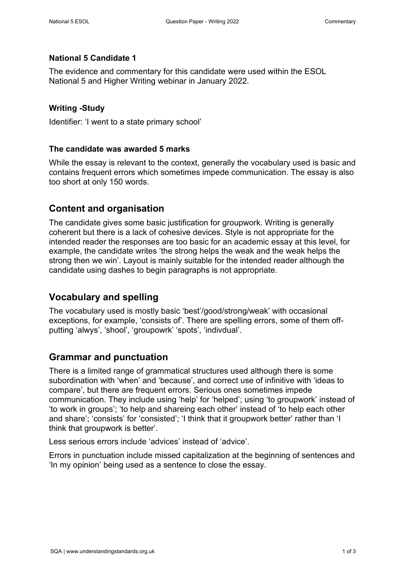#### **National 5 Candidate 1**

The evidence and commentary for this candidate were used within the ESOL National 5 and Higher Writing webinar in January 2022.

#### **Writing -Study**

Identifier: 'I went to a state primary school'

#### **The candidate was awarded 5 marks**

While the essay is relevant to the context, generally the vocabulary used is basic and contains frequent errors which sometimes impede communication. The essay is also too short at only 150 words.

## **Content and organisation**

The candidate gives some basic justification for groupwork. Writing is generally coherent but there is a lack of cohesive devices. Style is not appropriate for the intended reader the responses are too basic for an academic essay at this level, for example, the candidate writes 'the strong helps the weak and the weak helps the strong then we win'. Layout is mainly suitable for the intended reader although the candidate using dashes to begin paragraphs is not appropriate.

# **Vocabulary and spelling**

The vocabulary used is mostly basic 'best'/good/strong/weak' with occasional exceptions, for example, 'consists of'. There are spelling errors, some of them offputting 'alwys', 'shool', 'groupowrk' 'spots', 'indivdual'.

# **Grammar and punctuation**

There is a limited range of grammatical structures used although there is some subordination with 'when' and 'because', and correct use of infinitive with 'ideas to compare', but there are frequent errors. Serious ones sometimes impede communication. They include using 'help' for 'helped'; using 'to groupwork' instead of 'to work in groups'; 'to help and shareing each other' instead of 'to help each other and share'; 'consists' for 'consisted'; 'I think that it groupwork better' rather than 'I think that groupwork is better'. Commentional 5 Cast of 2022 Commentary Writing 2022<br>
National 5 Candidate 1<br>
The evidence and commentary for this candidate were used within the ESOL<br>
National 5 and Higher Writing webinar in January 2022.<br>
Writing Study 1

Less serious errors include 'advices' instead of 'advice'.

Errors in punctuation include missed capitalization at the beginning of sentences and 'In my opinion' being used as a sentence to close the essay.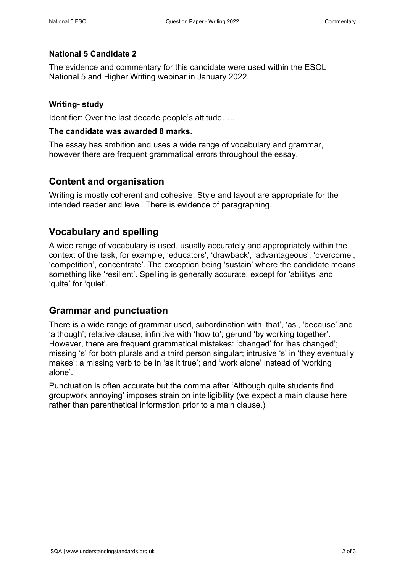### **National 5 Candidate 2**

The evidence and commentary for this candidate were used within the ESOL National 5 and Higher Writing webinar in January 2022.

#### **Writing- study**

Identifier: Over the last decade people's attitude…..

#### **The candidate was awarded 8 marks.**

The essay has ambition and uses a wide range of vocabulary and grammar, however there are frequent grammatical errors throughout the essay.

### **Content and organisation**

Writing is mostly coherent and cohesive. Style and layout are appropriate for the intended reader and level. There is evidence of paragraphing.

### **Vocabulary and spelling**

A wide range of vocabulary is used, usually accurately and appropriately within the context of the task, for example, 'educators', 'drawback', 'advantageous', 'overcome', 'competition', concentrate'. The exception being 'sustain' where the candidate means something like 'resilient'. Spelling is generally accurate, except for 'abilitys' and 'quite' for 'quiet'.

### **Grammar and punctuation**

There is a wide range of grammar used, subordination with 'that', 'as', 'because' and 'although'; relative clause; infinitive with 'how to'; gerund 'by working together'. However, there are frequent grammatical mistakes: 'changed' for 'has changed'; missing 's' for both plurals and a third person singular; intrusive 's' in 'they eventually makes'; a missing verb to be in 'as it true'; and 'work alone' instead of 'working alone'. National 5 Earthcoid Commissions Commissions Commissions Commissions Commissions (Commissions Paper - Writing Commissions (National Scandidate Weiting - Ethiopic Paper - Writing 2022.<br>
Writing - Ethiopic Writing 2022 Commi

Punctuation is often accurate but the comma after 'Although quite students find groupwork annoying' imposes strain on intelligibility (we expect a main clause here rather than parenthetical information prior to a main clause.)